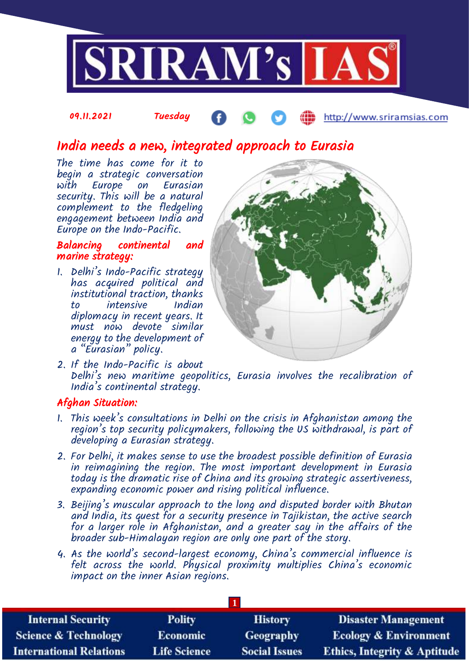

#### 09.11.2021 Tuesday http://www.sriramsias.com

# India needs a new, integrated approach to Eurasia

The time has come for it to begin a strategic conversation with Europe on Eurasian security. This will be a natural complement to the fledgeling engagement between India and Europe on the Indo-Pacific.

## Balancing continental and marine strategy:

1. Delhi's Indo-Pacific strategy has acquired political and institutional traction, thanks to intensive Indian diplomacy in recent years. It must now devote similar energy to the development of a "Eurasian" policy.



2. If the Indo-Pacific is about Delhi's new maritime geopolitics, Eurasia involves the recalibration of India's continental strategy.

### Afghan Situation:

- 1. This week's consultations in Delhi on the crisis in Afghanistan among the region's top security policymakers, following the US withdrawal, is part of developing a Eurasian strategy.
- 2. For Delhi, it makes sense to use the broadest possible definition of Eurasia in reimagining the region. The most important development in Eurasia today is the dramatic rise of China and its growing strategic assertiveness, expanding economic power and rising political influence.
- 3. Beijing's muscular approach to the long and disputed border with Bhutan and India, its quest for a security presence in Tajikistan, the active search for a larger role in Afghanistan, and a greater say in the affairs of the broader sub-Himalayan region are only one part of the story.
- 4. As the world's second-largest economy, China's commercial influence is felt across the world. Physical proximity multiplies China's economic impact on the inner Asian regions.

| <b>Internal Security</b>        | <b>Polity</b>       | <b>History</b>       | <b>Disaster Management</b>              |  |  |  |
|---------------------------------|---------------------|----------------------|-----------------------------------------|--|--|--|
| <b>Science &amp; Technology</b> | <b>Economic</b>     | Geography            | <b>Ecology &amp; Environment</b>        |  |  |  |
| <b>International Relations</b>  | <b>Life Science</b> | <b>Social Issues</b> | <b>Ethics, Integrity &amp; Aptitude</b> |  |  |  |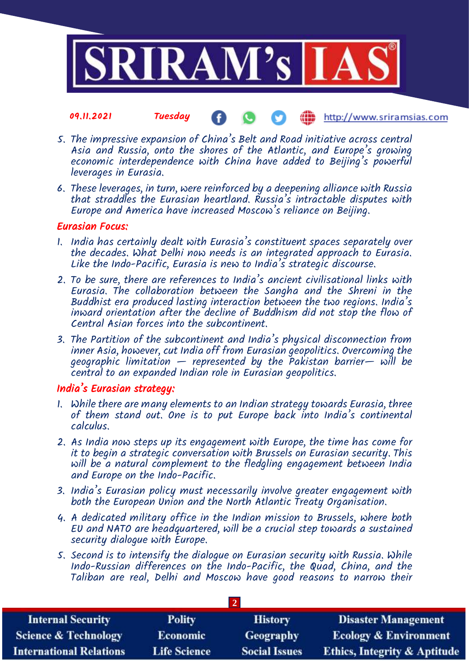

#### 09.11.2021 Tuesday http://www.sriramsias.com

- 5. The impressive expansion of China's Belt and Road initiative across central Asia and Russia, onto the shores of the Atlantic, and Europe's growing economic interdependence with China have added to Beijing's powerful leverages in Eurasia.
- 6. These leverages, in turn, were reinforced by a deepening alliance with Russia that straddles the Eurasian heartland. Russia's intractable disputes with Europe and America have increased Moscow's reliance on Beijing.

#### Eurasian Focus:

- 1. India has certainly dealt with Eurasia's constituent spaces separately over the decades. What Delhi now needs is an integrated approach to Eurasia. Like the Indo-Pacific, Eurasia is new to India's strategic discourse.
- 2. To be sure, there are references to India's ancient civilisational links with Eurasia. The collaboration between the Sangha and the Shreni in the Buddhist era produced lasting interaction between the two regions. India's inward orientation after the decline of Buddhism did not stop the flow of Central Asian forces into the subcontinent.
- 3. The Partition of the subcontinent and India's physical disconnection from inner Asia, however, cut India off from Eurasian geopolitics. Overcoming the geographic limitation — represented by the Pakistan barrier— will be central to an expanded Indian role in Eurasian geopolitics.

#### India's Eurasian strategy:

- 1. While there are many elements to an Indian strategy towards Eurasia, three of them stand out. One is to put Europe back into India's continental calculus.
- 2. As India now steps up its engagement with Europe, the time has come for it to begin a strategic conversation with Brussels on Eurasian security. This will be a natural complement to the fledgling engagement between India and Europe on the Indo-Pacific.
- 3. India's Eurasian policy must necessarily involve greater engagement with both the European Union and the North Atlantic Treaty Organisation.
- 4. A dedicated military office in the Indian mission to Brussels, where both EU and NATO are headquartered, will be a crucial step towards a sustained security dialogue with Europe.
- 5. Second is to intensify the dialogue on Eurasian security with Russia. While Indo-Russian differences on the Indo-Pacific, the Quad, China, and the Taliban are real, Delhi and Moscow have good reasons to narrow their

**2** 

| <b>Internal Security</b>        | <b>Polity</b>       | <b>History</b>       | <b>Disaster Management</b>              |  |  |  |
|---------------------------------|---------------------|----------------------|-----------------------------------------|--|--|--|
| <b>Science &amp; Technology</b> | <b>Economic</b>     | Geography            | <b>Ecology &amp; Environment</b>        |  |  |  |
| <b>International Relations</b>  | <b>Life Science</b> | <b>Social Issues</b> | <b>Ethics, Integrity &amp; Aptitude</b> |  |  |  |